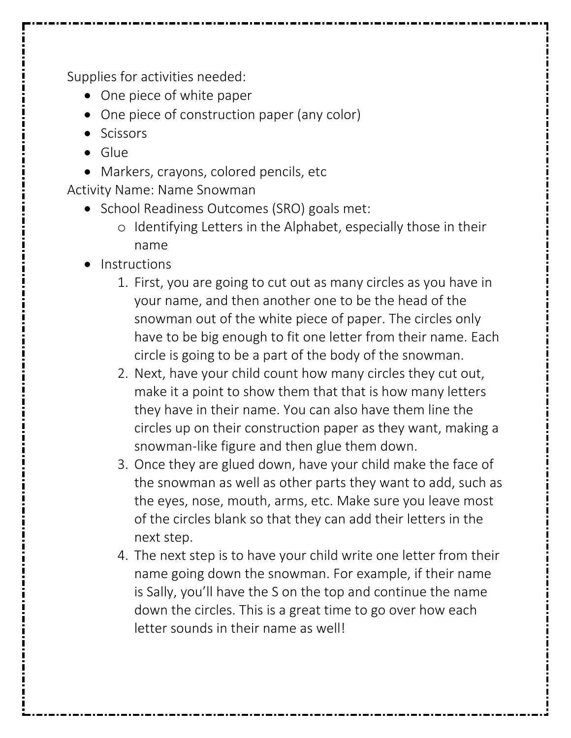Supplies for activities needed:

- One piece of white paper
- One piece of construction paper (any color)
- Scissors
- Glue
- Markers, crayons, colored pencils, etc

Activity Name: Name Snowman

- School Readiness Outcomes (SRO) goals met:
	- o Identifying Letters in the Alphabet, especially those in their name
- Instructions
	- 1. First, you are going to cut out as many circles as you have in your name, and then another one to be the head of the snowman out of the white piece of paper. The circles only have to be big enough to fit one letter from their name. Each circle is going to be a part of the body of the snowman.
	- 2. Next, have your child count how many circles they cut out, make it a point to show them that that is how many letters they have in their name. You can also have them line the circles up on their construction paper as they want, making a snowman-like figure and then glue them down.
	- 3. Once they are glued down, have your child make the face of the snowman as well as other parts they want to add, such as the eyes, nose, mouth, arms, etc. Make sure you leave most of the circles blank so that they can add their letters in the next step.
	- 4. The next step is to have your child write one letter from their name going down the snowman. For example, if their name is Sally, you'll have the S on the top and continue the name down the circles. This is a great time to go over how each letter sounds in their name as well!